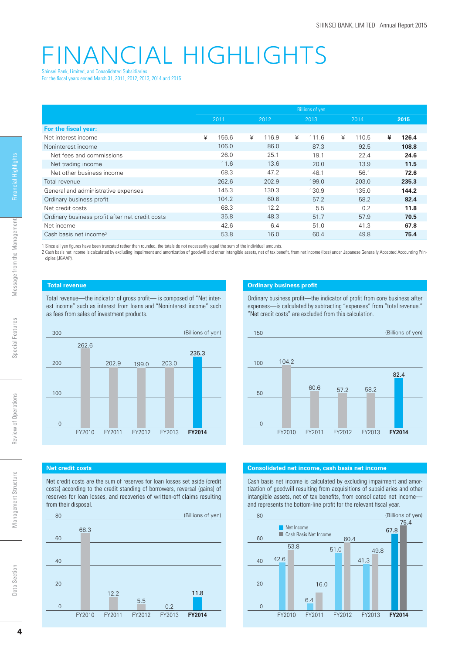# FINANCIAL HIGHLIGHTS Shinsei Bank, Limited, and Consolidated Subsidiaries

For the fiscal years ended March 31, 2011, 2012, 2013, 2014 and 2015<sup>1</sup>

|                                                 | <b>Billions of yen</b> |       |   |       |   |       |   |       |   |       |
|-------------------------------------------------|------------------------|-------|---|-------|---|-------|---|-------|---|-------|
|                                                 | 2011                   |       |   | 2012  |   | 2013  |   | 2014  |   | 2015  |
| For the fiscal year:                            |                        |       |   |       |   |       |   |       |   |       |
| Net interest income                             | ¥                      | 156.6 | ¥ | 116.9 | ¥ | 111.6 | ¥ | 110.5 | ¥ | 126.4 |
| Noninterest income                              |                        | 106.0 |   | 86.0  |   | 87.3  |   | 92.5  |   | 108.8 |
| Net fees and commissions                        |                        | 26.0  |   | 25.1  |   | 19.1  |   | 22.4  |   | 24.6  |
| Net trading income                              |                        | 11.6  |   | 13.6  |   | 20.0  |   | 13.9  |   | 11.5  |
| Net other business income                       |                        | 68.3  |   | 47.2  |   | 48.1  |   | 56.1  |   | 72.6  |
| Total revenue                                   |                        | 262.6 |   | 202.9 |   | 199.0 |   | 203.0 |   | 235.3 |
| General and administrative expenses             |                        | 145.3 |   | 130.3 |   | 130.9 |   | 135.0 |   | 144.2 |
| Ordinary business profit                        |                        | 104.2 |   | 60.6  |   | 57.2  |   | 58.2  |   | 82.4  |
| Net credit costs                                |                        | 68.3  |   | 12.2  |   | 5.5   |   | 0.2   |   | 11.8  |
| Ordinary business profit after net credit costs |                        | 35.8  |   | 48.3  |   | 51.7  |   | 57.9  |   | 70.5  |
| Net income                                      |                        | 42.6  |   | 6.4   |   | 51.0  |   | 41.3  |   | 67.8  |
| Cash basis net income <sup>2</sup>              |                        | 53.8  |   | 16.0  |   | 60.4  |   | 49.8  |   | 75.4  |

1 Since all yen figures have been truncated rather than rounded, the totals do not necessarily equal the sum of the individual amounts.

2 Cash basis net income is calculated by excluding impairment and amortization of goodwill and other intangible assets, net of tax benefi t, from net income (loss) under Japanese Generally Accepted Accounting Principles (JGAAP).

(Billions of yen)

235.3

## **Total revenue**

262.6

300

200

 $\Omega$ 

100

Total revenue—the indicator of gross profit— is composed of "Net interest income" such as interest from loans and "Noninterest income" such as fees from sales of investment products.



Ordinary business profit—the indicator of profit from core business after expenses—is calculated by subtracting "expenses" from "total revenue." "Net credit costs" are excluded from this calculation.



### **Net credit costs**

Net credit costs are the sum of reserves for loan losses set aside (credit costs) according to the credit standing of borrowers, reversal (gains) of reserves for loan losses, and recoveries of written-off claims resulting from their disposal.

FY2010 FY2011 FY2012 FY2013 **FY2014**

199.0

203.0

202.9





Cash basis net income is calculated by excluding impairment and amortization of goodwill resulting from acquisitions of subsidiaries and other intangible assets, net of tax benefits, from consolidated net incomeand represents the bottom-line profit for the relevant fiscal year.



Management Structure

Management Structure